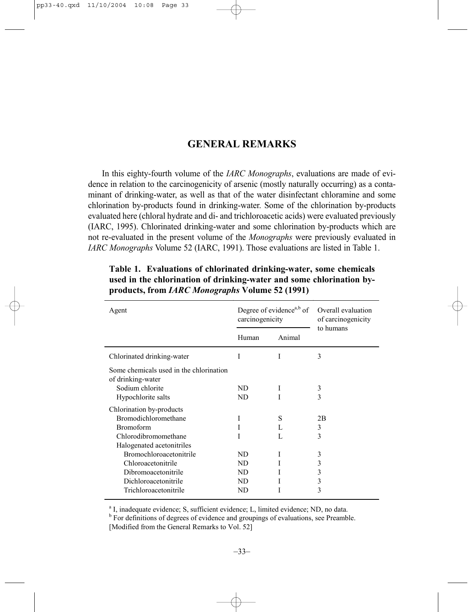## **GENERAL REMARKS**

In this eighty-fourth volume of the *IARC Monographs*, evaluations are made of evidence in relation to the carcinogenicity of arsenic (mostly naturally occurring) as a contaminant of drinking-water, as well as that of the water disinfectant chloramine and some chlorination by-products found in drinking-water. Some of the chlorination by-products evaluated here (chloral hydrate and di- and trichloroacetic acids) were evaluated previously (IARC, 1995). Chlorinated drinking-water and some chlorination by-products which are not re-evaluated in the present volume of the *Monographs* were previously evaluated in *IARC Monographs* Volume 52 (IARC, 1991). Those evaluations are listed in Table 1.

| Agent                                                        | Degree of evidence <sup>a,b</sup> of<br>carcinogenicity |        | Overall evaluation<br>of carcinogenicity<br>to humans |
|--------------------------------------------------------------|---------------------------------------------------------|--------|-------------------------------------------------------|
|                                                              | Human                                                   | Animal |                                                       |
| Chlorinated drinking-water                                   | I                                                       | I      | 3                                                     |
| Some chemicals used in the chlorination<br>of drinking-water |                                                         |        |                                                       |
| Sodium chlorite                                              | ND.                                                     | I      | 3                                                     |
| Hypochlorite salts                                           | ND                                                      |        | 3                                                     |
| Chlorination by-products                                     |                                                         |        |                                                       |
| Bromodichloromethane                                         | I                                                       | S      | 2B                                                    |
| <b>Bromoform</b>                                             | I                                                       | L      | 3                                                     |
| Chlorodibromomethane                                         |                                                         | L      | 3                                                     |
| Halogenated acetonitriles                                    |                                                         |        |                                                       |
| <b>Bromochloroacetonitrile</b>                               | ND                                                      |        | 3                                                     |
| Chloroacetonitrile                                           | ND                                                      |        | 3                                                     |
| Dibromoacetonitrile                                          | ND.                                                     |        | 3                                                     |
| Dichloroacetonitrile                                         | ND.                                                     |        | 3                                                     |
| Trichloroacetonitrile                                        | ND                                                      |        | 3                                                     |
|                                                              |                                                         |        |                                                       |

## **Table 1. Evaluations of chlorinated drinking-water, some chemicals used in the chlorination of drinking-water and some chlorination byproducts, from** *IARC Monographs* **Volume 52 (1991)**

<sup>a</sup> I, inadequate evidence; S, sufficient evidence; L, limited evidence; ND, no data.

<sup>b</sup> For definitions of degrees of evidence and groupings of evaluations, see Preamble. [Modified from the General Remarks to Vol. 52]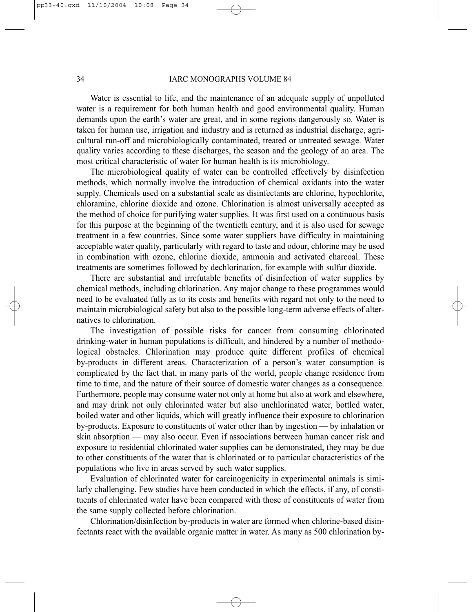## 34 IARC MONOGRAPHS VOLUME 84

Water is essential to life, and the maintenance of an adequate supply of unpolluted water is a requirement for both human health and good environmental quality. Human demands upon the earth's water are great, and in some regions dangerously so. Water is taken for human use, irrigation and industry and is returned as industrial discharge, agricultural run-off and microbiologically contaminated, treated or untreated sewage. Water quality varies according to these discharges, the season and the geology of an area. The most critical characteristic of water for human health is its microbiology.

The microbiological quality of water can be controlled effectively by disinfection methods, which normally involve the introduction of chemical oxidants into the water supply. Chemicals used on a substantial scale as disinfectants are chlorine, hypochlorite, chloramine, chlorine dioxide and ozone. Chlorination is almost universally accepted as the method of choice for purifying water supplies. It was first used on a continuous basis for this purpose at the beginning of the twentieth century, and it is also used for sewage treatment in a few countries. Since some water suppliers have difficulty in maintaining acceptable water quality, particularly with regard to taste and odour, chlorine may be used in combination with ozone, chlorine dioxide, ammonia and activated charcoal. These treatments are sometimes followed by dechlorination, for example with sulfur dioxide.

There are substantial and irrefutable benefits of disinfection of water supplies by chemical methods, including chlorination. Any major change to these programmes would need to be evaluated fully as to its costs and benefits with regard not only to the need to maintain microbiological safety but also to the possible long-term adverse effects of alternatives to chlorination.

The investigation of possible risks for cancer from consuming chlorinated drinking-water in human populations is difficult, and hindered by a number of methodological obstacles. Chlorination may produce quite different profiles of chemical by-products in different areas. Characterization of a person's water consumption is complicated by the fact that, in many parts of the world, people change residence from time to time, and the nature of their source of domestic water changes as a consequence. Furthermore, people may consume water not only at home but also at work and elsewhere, and may drink not only chlorinated water but also unchlorinated water, bottled water, boiled water and other liquids, which will greatly influence their exposure to chlorination by-products. Exposure to constituents of water other than by ingestion — by inhalation or skin absorption — may also occur. Even if associations between human cancer risk and exposure to residential chlorinated water supplies can be demonstrated, they may be due to other constituents of the water that is chlorinated or to particular characteristics of the populations who live in areas served by such water supplies.

Evaluation of chlorinated water for carcinogenicity in experimental animals is similarly challenging. Few studies have been conducted in which the effects, if any, of constituents of chlorinated water have been compared with those of constituents of water from the same supply collected before chlorination.

Chlorination/disinfection by-products in water are formed when chlorine-based disinfectants react with the available organic matter in water. As many as 500 chlorination by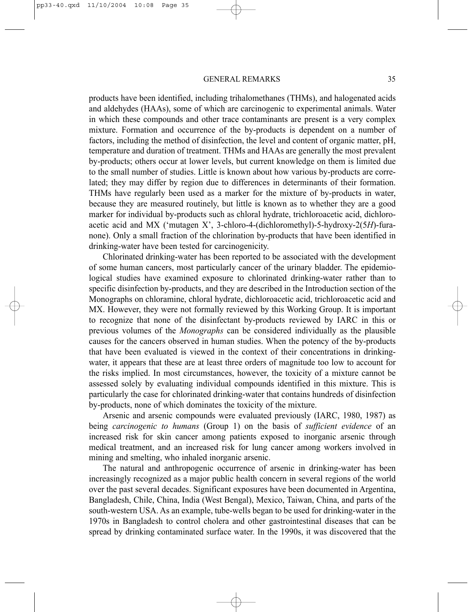products have been identified, including trihalomethanes (THMs), and halogenated acids and aldehydes (HAAs), some of which are carcinogenic to experimental animals. Water in which these compounds and other trace contaminants are present is a very complex mixture. Formation and occurrence of the by-products is dependent on a number of factors, including the method of disinfection, the level and content of organic matter, pH, temperature and duration of treatment. THMs and HAAs are generally the most prevalent by-products; others occur at lower levels, but current knowledge on them is limited due to the small number of studies. Little is known about how various by-products are correlated; they may differ by region due to differences in determinants of their formation. THMs have regularly been used as a marker for the mixture of by-products in water, because they are measured routinely, but little is known as to whether they are a good marker for individual by-products such as chloral hydrate, trichloroacetic acid, dichloroacetic acid and MX ('mutagen X', 3-chloro-4-(dichloromethyl)-5-hydroxy-2(5*H*)-furanone). Only a small fraction of the chlorination by-products that have been identified in drinking-water have been tested for carcinogenicity.

Chlorinated drinking-water has been reported to be associated with the development of some human cancers, most particularly cancer of the urinary bladder. The epidemiological studies have examined exposure to chlorinated drinking-water rather than to specific disinfection by-products, and they are described in the Introduction section of the Monographs on chloramine, chloral hydrate, dichloroacetic acid, trichloroacetic acid and MX. However, they were not formally reviewed by this Working Group. It is important to recognize that none of the disinfectant by-products reviewed by IARC in this or previous volumes of the *Monographs* can be considered individually as the plausible causes for the cancers observed in human studies. When the potency of the by-products that have been evaluated is viewed in the context of their concentrations in drinkingwater, it appears that these are at least three orders of magnitude too low to account for the risks implied. In most circumstances, however, the toxicity of a mixture cannot be assessed solely by evaluating individual compounds identified in this mixture. This is particularly the case for chlorinated drinking-water that contains hundreds of disinfection by-products, none of which dominates the toxicity of the mixture.

Arsenic and arsenic compounds were evaluated previously (IARC, 1980, 1987) as being *carcinogenic to humans* (Group 1) on the basis of *sufficient evidence* of an increased risk for skin cancer among patients exposed to inorganic arsenic through medical treatment, and an increased risk for lung cancer among workers involved in mining and smelting, who inhaled inorganic arsenic.

The natural and anthropogenic occurrence of arsenic in drinking-water has been increasingly recognized as a major public health concern in several regions of the world over the past several decades. Significant exposures have been documented in Argentina, Bangladesh, Chile, China, India (West Bengal), Mexico, Taiwan, China, and parts of the south-western USA. As an example, tube-wells began to be used for drinking-water in the 1970s in Bangladesh to control cholera and other gastrointestinal diseases that can be spread by drinking contaminated surface water. In the 1990s, it was discovered that the